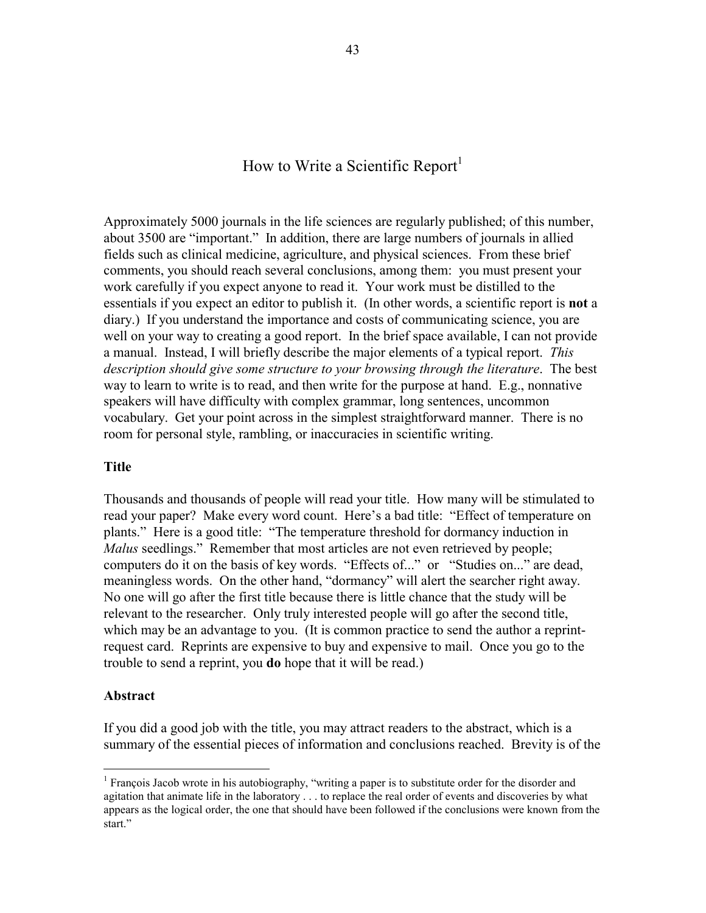# How to Write a Scientific Report<sup>1</sup>

Approximately 5000 journals in the life sciences are regularly published; of this number, about 3500 are "important." In addition, there are large numbers of journals in allied fields such as clinical medicine, agriculture, and physical sciences. From these brief comments, you should reach several conclusions, among them: you must present your work carefully if you expect anyone to read it. Your work must be distilled to the essentials if you expect an editor to publish it. (In other words, a scientific report is **not** a diary.) If you understand the importance and costs of communicating science, you are well on your way to creating a good report. In the brief space available, I can not provide a manual. Instead, I will briefly describe the major elements of a typical report. *This description should give some structure to your browsing through the literature*. The best way to learn to write is to read, and then write for the purpose at hand. E.g., nonnative speakers will have difficulty with complex grammar, long sentences, uncommon vocabulary. Get your point across in the simplest straightforward manner. There is no room for personal style, rambling, or inaccuracies in scientific writing.

#### **Title**

Thousands and thousands of people will read your title. How many will be stimulated to read your paper? Make every word count. Here's a bad title: "Effect of temperature on plants." Here is a good title: "The temperature threshold for dormancy induction in *Malus* seedlings." Remember that most articles are not even retrieved by people; computers do it on the basis of key words. "Effects of..." or "Studies on..." are dead, meaningless words. On the other hand, "dormancy" will alert the searcher right away. No one will go after the first title because there is little chance that the study will be relevant to the researcher. Only truly interested people will go after the second title, which may be an advantage to you. (It is common practice to send the author a reprintrequest card. Reprints are expensive to buy and expensive to mail. Once you go to the trouble to send a reprint, you **do** hope that it will be read.)

#### **Abstract**

<u>.</u>

If you did a good job with the title, you may attract readers to the abstract, which is a summary of the essential pieces of information and conclusions reached. Brevity is of the

<sup>&</sup>lt;sup>1</sup> François Jacob wrote in his autobiography, "writing a paper is to substitute order for the disorder and agitation that animate life in the laboratory . . . to replace the real order of events and discoveries by what appears as the logical order, the one that should have been followed if the conclusions were known from the start."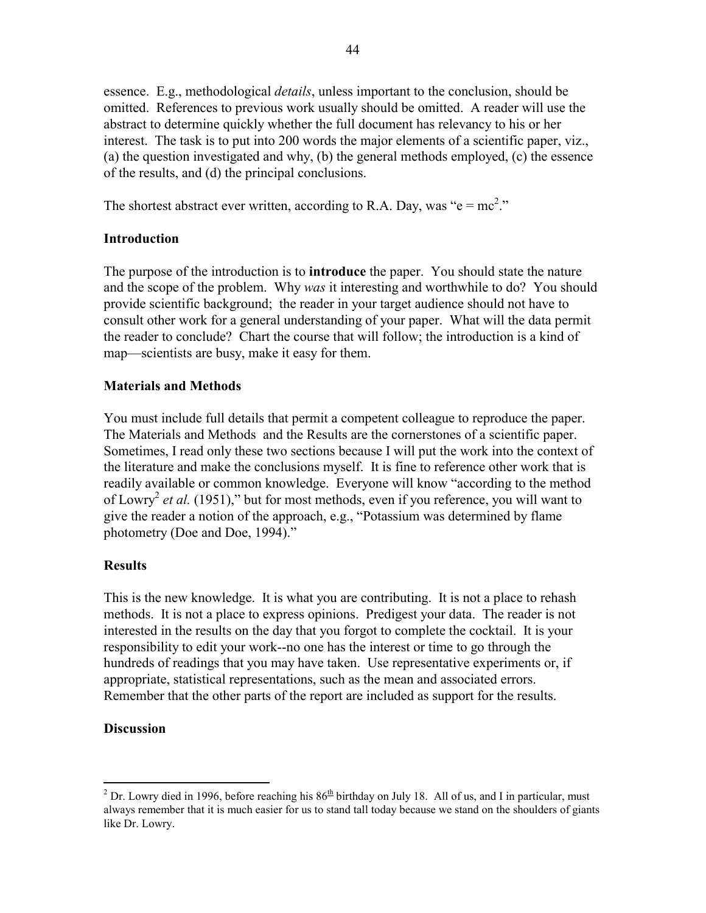essence. E.g., methodological *details*, unless important to the conclusion, should be omitted. References to previous work usually should be omitted. A reader will use the abstract to determine quickly whether the full document has relevancy to his or her interest. The task is to put into 200 words the major elements of a scientific paper, viz., (a) the question investigated and why, (b) the general methods employed, (c) the essence of the results, and (d) the principal conclusions.

The shortest abstract ever written, according to R.A. Day, was " $e = mc^2$ ."

### **Introduction**

The purpose of the introduction is to **introduce** the paper. You should state the nature and the scope of the problem. Why *was* it interesting and worthwhile to do? You should provide scientific background; the reader in your target audience should not have to consult other work for a general understanding of your paper. What will the data permit the reader to conclude? Chart the course that will follow; the introduction is a kind of map—scientists are busy, make it easy for them.

### **Materials and Methods**

You must include full details that permit a competent colleague to reproduce the paper. The Materials and Methods and the Results are the cornerstones of a scientific paper. Sometimes, I read only these two sections because I will put the work into the context of the literature and make the conclusions myself. It is fine to reference other work that is readily available or common knowledge. Everyone will know "according to the method of Lowry2 *et al.* (1951)," but for most methods, even if you reference, you will want to give the reader a notion of the approach, e.g., "Potassium was determined by flame photometry (Doe and Doe, 1994)."

# **Results**

This is the new knowledge. It is what you are contributing. It is not a place to rehash methods. It is not a place to express opinions. Predigest your data. The reader is not interested in the results on the day that you forgot to complete the cocktail. It is your responsibility to edit your work--no one has the interest or time to go through the hundreds of readings that you may have taken. Use representative experiments or, if appropriate, statistical representations, such as the mean and associated errors. Remember that the other parts of the report are included as support for the results.

### **Discussion**

<sup>1</sup> <sup>2</sup> Dr. Lowry died in 1996, before reaching his  $86<sup>th</sup>$  birthday on July 18. All of us, and I in particular, must always remember that it is much easier for us to stand tall today because we stand on the shoulders of giants like Dr. Lowry.